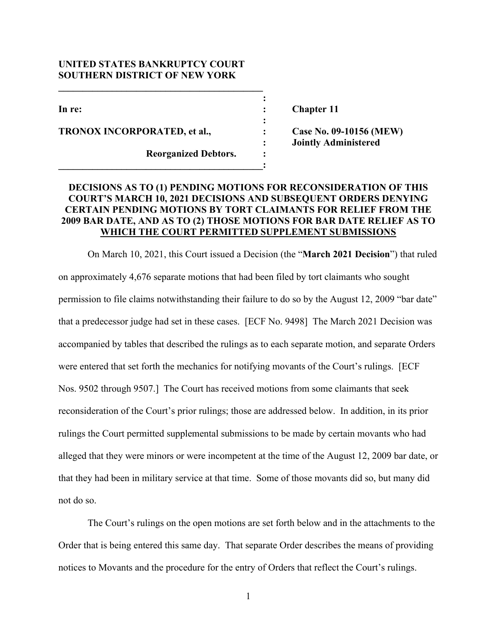## **UNITED STATES BANKRUPTCY COURT SOUTHERN DISTRICT OF NEW YORK**

 $\mathcal{L} = \{ \mathcal{L} \}$ 

*x*  $\mathbf{r}$   $\mathbf{r}$   $\mathbf{r}$   $\mathbf{r}$   $\mathbf{r}$   $\mathbf{r}$   $\mathbf{r}$   $\mathbf{r}$   $\mathbf{r}$   $\mathbf{r}$   $\mathbf{r}$   $\mathbf{r}$   $\mathbf{r}$   $\mathbf{r}$   $\mathbf{r}$   $\mathbf{r}$   $\mathbf{r}$   $\mathbf{r}$   $\mathbf{r}$   $\mathbf{r}$   $\mathbf{r}$   $\mathbf{r}$   $\mathbf{r}$   $\mathbf{r}$ 

**\_\_\_\_\_\_\_\_\_\_\_\_\_\_\_\_\_\_\_\_\_\_\_\_\_\_\_\_\_\_\_\_\_\_\_\_\_\_\_\_\_\_:** 

**TRONOX INCORPORATED, et al., : Case No. 09-10156 (MEW)** 

**Reorganized Debtors. : :** 

In re: Chapter 11

**: Jointly Administered** 

# **DECISIONS AS TO (1) PENDING MOTIONS FOR RECONSIDERATION OF THIS COURT'S MARCH 10, 2021 DECISIONS AND SUBSEQUENT ORDERS DENYING CERTAIN PENDING MOTIONS BY TORT CLAIMANTS FOR RELIEF FROM THE 2009 BAR DATE, AND AS TO (2) THOSE MOTIONS FOR BAR DATE RELIEF AS TO WHICH THE COURT PERMITTED SUPPLEMENT SUBMISSIONS**

**:** 

On March 10, 2021, this Court issued a Decision (the "**March 2021 Decision**") that ruled on approximately 4,676 separate motions that had been filed by tort claimants who sought permission to file claims notwithstanding their failure to do so by the August 12, 2009 "bar date" that a predecessor judge had set in these cases. [ECF No. 9498] The March 2021 Decision was accompanied by tables that described the rulings as to each separate motion, and separate Orders were entered that set forth the mechanics for notifying movants of the Court's rulings. [ECF Nos. 9502 through 9507.] The Court has received motions from some claimants that seek reconsideration of the Court's prior rulings; those are addressed below. In addition, in its prior rulings the Court permitted supplemental submissions to be made by certain movants who had alleged that they were minors or were incompetent at the time of the August 12, 2009 bar date, or that they had been in military service at that time. Some of those movants did so, but many did not do so.

The Court's rulings on the open motions are set forth below and in the attachments to the Order that is being entered this same day. That separate Order describes the means of providing notices to Movants and the procedure for the entry of Orders that reflect the Court's rulings.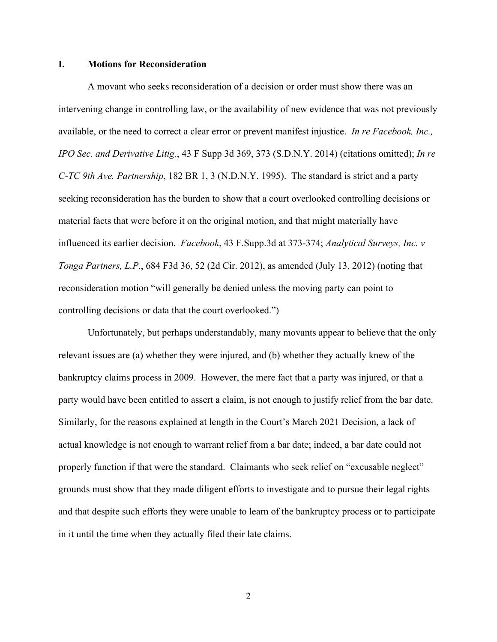#### **I. Motions for Reconsideration**

A movant who seeks reconsideration of a decision or order must show there was an intervening change in controlling law, or the availability of new evidence that was not previously available, or the need to correct a clear error or prevent manifest injustice. *In re Facebook, Inc., IPO Sec. and Derivative Litig.*, 43 F Supp 3d 369, 373 (S.D.N.Y. 2014) (citations omitted); *In re C-TC 9th Ave. Partnership*, 182 BR 1, 3 (N.D.N.Y. 1995). The standard is strict and a party seeking reconsideration has the burden to show that a court overlooked controlling decisions or material facts that were before it on the original motion, and that might materially have influenced its earlier decision. *Facebook*, 43 F.Supp.3d at 373-374; *Analytical Surveys, Inc. v Tonga Partners, L.P.*, 684 F3d 36, 52 (2d Cir. 2012), as amended (July 13, 2012) (noting that reconsideration motion "will generally be denied unless the moving party can point to controlling decisions or data that the court overlooked.")

Unfortunately, but perhaps understandably, many movants appear to believe that the only relevant issues are (a) whether they were injured, and (b) whether they actually knew of the bankruptcy claims process in 2009. However, the mere fact that a party was injured, or that a party would have been entitled to assert a claim, is not enough to justify relief from the bar date. Similarly, for the reasons explained at length in the Court's March 2021 Decision, a lack of actual knowledge is not enough to warrant relief from a bar date; indeed, a bar date could not properly function if that were the standard. Claimants who seek relief on "excusable neglect" grounds must show that they made diligent efforts to investigate and to pursue their legal rights and that despite such efforts they were unable to learn of the bankruptcy process or to participate in it until the time when they actually filed their late claims.

2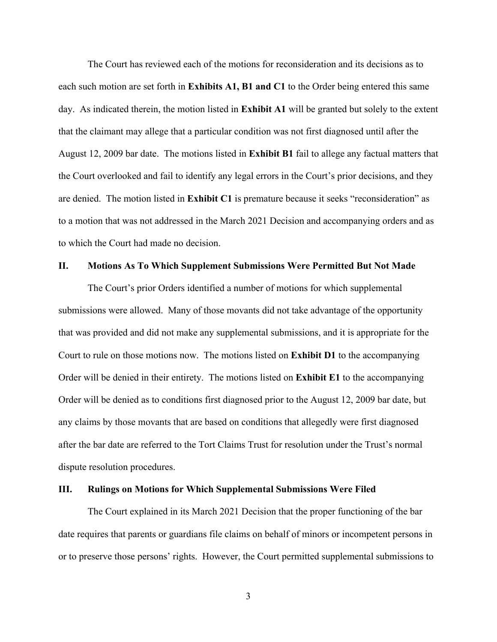The Court has reviewed each of the motions for reconsideration and its decisions as to each such motion are set forth in **Exhibits A1, B1 and C1** to the Order being entered this same day.As indicated therein, the motion listed in **Exhibit A1** will be granted but solely to the extent that the claimant may allege that a particular condition was not first diagnosed until after the August 12, 2009 bar date. The motions listed in **Exhibit B1** fail to allege any factual matters that the Court overlooked and fail to identify any legal errors in the Court's prior decisions, and they are denied. The motion listed in **Exhibit C1** is premature because it seeks "reconsideration" as to a motion that was not addressed in the March 2021 Decision and accompanying orders and as to which the Court had made no decision.

### **II. Motions As To Which Supplement Submissions Were Permitted But Not Made**

The Court's prior Orders identified a number of motions for which supplemental submissions were allowed. Many of those movants did not take advantage of the opportunity that was provided and did not make any supplemental submissions, and it is appropriate for the Court to rule on those motions now. The motions listed on **Exhibit D1** to the accompanying Order will be denied in their entirety. The motions listed on **Exhibit E1** to the accompanying Order will be denied as to conditions first diagnosed prior to the August 12, 2009 bar date, but any claims by those movants that are based on conditions that allegedly were first diagnosed after the bar date are referred to the Tort Claims Trust for resolution under the Trust's normal dispute resolution procedures.

#### **III. Rulings on Motions for Which Supplemental Submissions Were Filed**

The Court explained in its March 2021 Decision that the proper functioning of the bar date requires that parents or guardians file claims on behalf of minors or incompetent persons in or to preserve those persons' rights. However, the Court permitted supplemental submissions to

3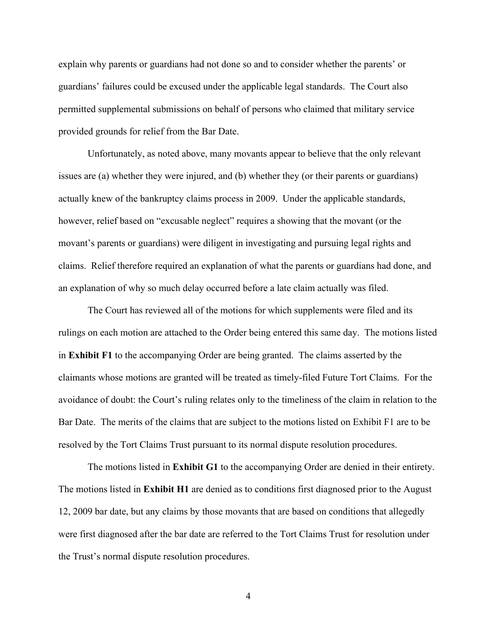explain why parents or guardians had not done so and to consider whether the parents' or guardians' failures could be excused under the applicable legal standards. The Court also permitted supplemental submissions on behalf of persons who claimed that military service provided grounds for relief from the Bar Date.

 Unfortunately, as noted above, many movants appear to believe that the only relevant issues are (a) whether they were injured, and (b) whether they (or their parents or guardians) actually knew of the bankruptcy claims process in 2009. Under the applicable standards, however, relief based on "excusable neglect" requires a showing that the movant (or the movant's parents or guardians) were diligent in investigating and pursuing legal rights and claims. Relief therefore required an explanation of what the parents or guardians had done, and an explanation of why so much delay occurred before a late claim actually was filed.

The Court has reviewed all of the motions for which supplements were filed and its rulings on each motion are attached to the Order being entered this same day. The motions listed in **Exhibit F1** to the accompanying Order are being granted. The claims asserted by the claimants whose motions are granted will be treated as timely-filed Future Tort Claims. For the avoidance of doubt: the Court's ruling relates only to the timeliness of the claim in relation to the Bar Date. The merits of the claims that are subject to the motions listed on Exhibit F1 are to be resolved by the Tort Claims Trust pursuant to its normal dispute resolution procedures.

The motions listed in **Exhibit G1** to the accompanying Order are denied in their entirety. The motions listed in **Exhibit H1** are denied as to conditions first diagnosed prior to the August 12, 2009 bar date, but any claims by those movants that are based on conditions that allegedly were first diagnosed after the bar date are referred to the Tort Claims Trust for resolution under the Trust's normal dispute resolution procedures.

4